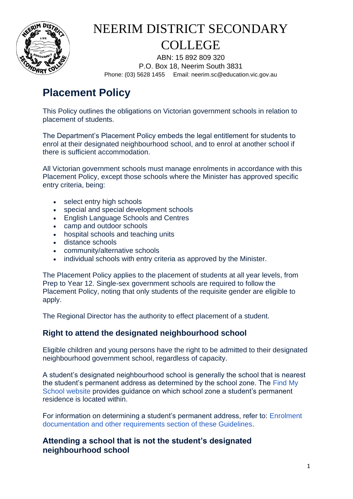

ABN: 15 892 809 320 P.O. Box 18, Neerim South 3831 Phone: (03) 5628 1455 Email: neerim.sc@education.vic.gov.au

### **Placement Policy**

This Policy outlines the obligations on Victorian government schools in relation to placement of students.

The Department's Placement Policy embeds the legal entitlement for students to enrol at their designated neighbourhood school, and to enrol at another school if there is sufficient accommodation.

All Victorian government schools must manage enrolments in accordance with this Placement Policy, except those schools where the Minister has approved specific entry criteria, being:

- select entry high schools
- special and special development schools
- English Language Schools and Centres
- camp and outdoor schools
- hospital schools and teaching units
- distance schools
- community/alternative schools
- individual schools with entry criteria as approved by the Minister.

The Placement Policy applies to the placement of students at all year levels, from Prep to Year 12. Single-sex government schools are required to follow the Placement Policy, noting that only students of the requisite gender are eligible to apply.

The Regional Director has the authority to effect placement of a student.

### **Right to attend the designated neighbourhood school**

Eligible children and young persons have the right to be admitted to their designated neighbourhood government school, regardless of capacity.

A student's designated neighbourhood school is generally the school that is nearest the student's permanent address as determined by the school zone. The [Find My](https://www.findmyschool.vic.gov.au/)  [School website](https://www.findmyschool.vic.gov.au/) provides guidance on which school zone a student's permanent residence is located within.

For information on determining a student's permanent address, refer to: [Enrolment](https://www2.education.vic.gov.au/pal/enrolment/guidance/enrolment-process-documentation-and-other-requirements)  [documentation and other requirements section of these Guidelines.](https://www2.education.vic.gov.au/pal/enrolment/guidance/enrolment-process-documentation-and-other-requirements)

### **Attending a school that is not the student's designated neighbourhood school**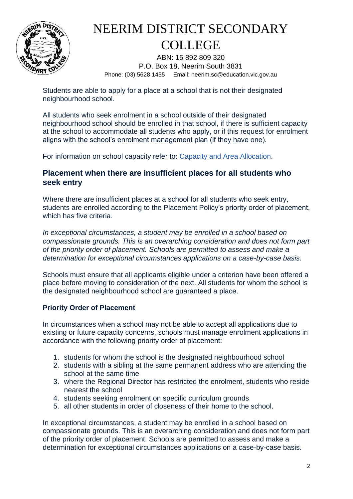

ABN: 15 892 809 320 P.O. Box 18, Neerim South 3831 Phone: (03) 5628 1455 Email: neerim.sc@education.vic.gov.au

Students are able to apply for a place at a school that is not their designated neighbourhood school.

All students who seek enrolment in a school outside of their designated neighbourhood school should be enrolled in that school, if there is sufficient capacity at the school to accommodate all students who apply, or if this request for enrolment aligns with the school's enrolment management plan (if they have one).

For information on school capacity refer to: [Capacity and Area Allocation.](https://www2.education.vic.gov.au/pal/capacity-and-area-allocation)

### **Placement when there are insufficient places for all students who seek entry**

Where there are insufficient places at a school for all students who seek entry. students are enrolled according to the Placement Policy's priority order of placement, which has five criteria.

*In exceptional circumstances, a student may be enrolled in a school based on compassionate grounds. This is an overarching consideration and does not form part of the priority order of placement. Schools are permitted to assess and make a determination for exceptional circumstances applications on a case-by-case basis.* 

Schools must ensure that all applicants eligible under a criterion have been offered a place before moving to consideration of the next. All students for whom the school is the designated neighbourhood school are guaranteed a place.

#### **Priority Order of Placement**

In circumstances when a school may not be able to accept all applications due to existing or future capacity concerns, schools must manage enrolment applications in accordance with the following priority order of placement:

- 1. students for whom the school is the designated neighbourhood school
- 2. students with a sibling at the same permanent address who are attending the school at the same time
- 3. where the Regional Director has restricted the enrolment, students who reside nearest the school
- 4. students seeking enrolment on specific curriculum grounds
- 5. all other students in order of closeness of their home to the school.

In exceptional circumstances, a student may be enrolled in a school based on compassionate grounds. This is an overarching consideration and does not form part of the priority order of placement. Schools are permitted to assess and make a determination for exceptional circumstances applications on a case-by-case basis.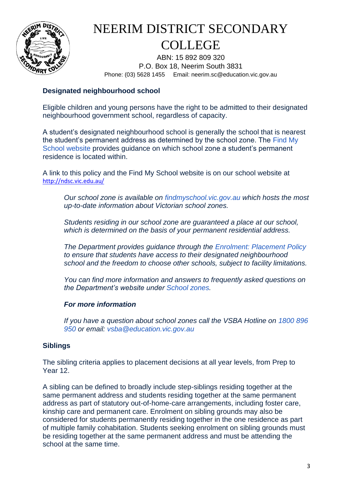

ABN: 15 892 809 320 P.O. Box 18, Neerim South 3831 Phone: (03) 5628 1455 Email: neerim.sc@education.vic.gov.au

#### **Designated neighbourhood school**

Eligible children and young persons have the right to be admitted to their designated neighbourhood government school, regardless of capacity.

A student's designated neighbourhood school is generally the school that is nearest the student's permanent address as determined by the school zone. The [Find My](https://www.findmyschool.vic.gov.au/)  [School website](https://www.findmyschool.vic.gov.au/) provides guidance on which school zone a student's permanent residence is located within.

A link to this policy and the Find My School website is on our school website at <http://ndsc.vic.edu.au/>

*Our school zone is available on [findmyschool.vic.gov.au](https://www.findmyschool.vic.gov.au/) which hosts the most up-to-date information about Victorian school zones.*

*Students residing in our school zone are guaranteed a place at our school, which is determined on the basis of your permanent residential address.*

*The Department provides guidance through the [Enrolment: Placement Policy](https://www2.education.vic.gov.au/pal/enrolment/guidance/placement-policy) to ensure that students have access to their designated neighbourhood school and the freedom to choose other schools, subject to facility limitations.*

*You can find more information and answers to frequently asked questions on the Department's website under [School zones.](https://www.education.vic.gov.au/parents/going-to-school/Pages/zones-restrictions.aspx)*

#### *For more information*

*If you have a question about school zones call the VSBA Hotline on [1800 896](tel:1800896950)  [950](tel:1800896950) or email: [vsba@education.vic.gov.au](mailto:vsba@education.vic.gov.au)*

#### **Siblings**

The sibling criteria applies to placement decisions at all year levels, from Prep to Year 12.

A sibling can be defined to broadly include step-siblings residing together at the same permanent address and students residing together at the same permanent address as part of statutory out-of-home-care arrangements, including foster care, kinship care and permanent care. Enrolment on sibling grounds may also be considered for students permanently residing together in the one residence as part of multiple family cohabitation. Students seeking enrolment on sibling grounds must be residing together at the same permanent address and must be attending the school at the same time.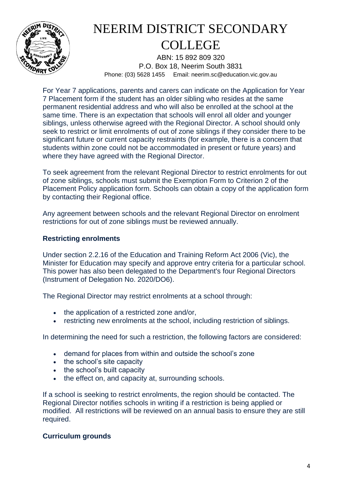

ABN: 15 892 809 320 P.O. Box 18, Neerim South 3831 Phone: (03) 5628 1455 Email: neerim.sc@education.vic.gov.au

For Year 7 applications, parents and carers can indicate on the Application for Year 7 Placement form if the student has an older sibling who resides at the same permanent residential address and who will also be enrolled at the school at the same time. There is an expectation that schools will enrol all older and younger siblings, unless otherwise agreed with the Regional Director. A school should only seek to restrict or limit enrolments of out of zone siblings if they consider there to be significant future or current capacity restraints (for example, there is a concern that students within zone could not be accommodated in present or future years) and where they have agreed with the Regional Director.

To seek agreement from the relevant Regional Director to restrict enrolments for out of zone siblings, schools must submit the Exemption Form to Criterion 2 of the Placement Policy application form. Schools can obtain a copy of the application form by contacting their Regional office.

Any agreement between schools and the relevant Regional Director on enrolment restrictions for out of zone siblings must be reviewed annually.

#### **Restricting enrolments**

Under section 2.2.16 of the Education and Training Reform Act 2006 (Vic), the Minister for Education may specify and approve entry criteria for a particular school. This power has also been delegated to the Department's four Regional Directors (Instrument of Delegation No. 2020/DO6).

The Regional Director may restrict enrolments at a school through:

- the application of a restricted zone and/or,
- restricting new enrolments at the school, including restriction of siblings.

In determining the need for such a restriction, the following factors are considered:

- demand for places from within and outside the school's zone
- the school's site capacity
- the school's built capacity
- the effect on, and capacity at, surrounding schools.

If a school is seeking to restrict enrolments, the region should be contacted. The Regional Director notifies schools in writing if a restriction is being applied or modified. All restrictions will be reviewed on an annual basis to ensure they are still required.

#### **Curriculum grounds**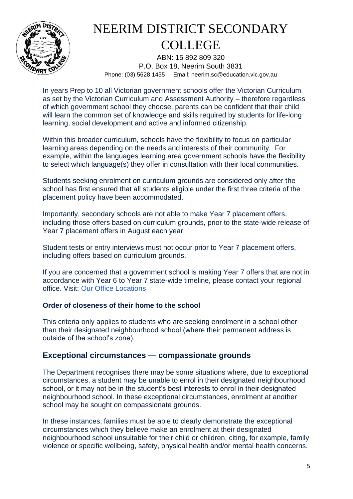

ABN: 15 892 809 320 P.O. Box 18, Neerim South 3831 Phone: (03) 5628 1455 Email: neerim.sc@education.vic.gov.au

In years Prep to 10 all Victorian government schools offer the Victorian Curriculum as set by the Victorian Curriculum and Assessment Authority – therefore regardless of which government school they choose, parents can be confident that their child will learn the common set of knowledge and skills required by students for life-long learning, social development and active and informed citizenship.

Within this broader curriculum, schools have the flexibility to focus on particular learning areas depending on the needs and interests of their community. For example, within the languages learning area government schools have the flexibility to select which language(s) they offer in consultation with their local communities.

Students seeking enrolment on curriculum grounds are considered only after the school has first ensured that all students eligible under the first three criteria of the placement policy have been accommodated.

Importantly, secondary schools are not able to make Year 7 placement offers, including those offers based on curriculum grounds, prior to the state-wide release of Year 7 placement offers in August each year.

Student tests or entry interviews must not occur prior to Year 7 placement offers, including offers based on curriculum grounds.

If you are concerned that a government school is making Year 7 offers that are not in accordance with Year 6 to Year 7 state-wide timeline, please contact your regional office. Visit: [Our Office Locations](https://www.education.vic.gov.au/about/contact/pages/regions.aspx)

#### **Order of closeness of their home to the school**

This criteria only applies to students who are seeking enrolment in a school other than their designated neighbourhood school (where their permanent address is outside of the school's zone).

### **Exceptional circumstances — compassionate grounds**

The Department recognises there may be some situations where, due to exceptional circumstances, a student may be unable to enrol in their designated neighbourhood school, or it may not be in the student's best interests to enrol in their designated neighbourhood school. In these exceptional circumstances, enrolment at another school may be sought on compassionate grounds.

In these instances, families must be able to clearly demonstrate the exceptional circumstances which they believe make an enrolment at their designated neighbourhood school unsuitable for their child or children, citing, for example, family violence or specific wellbeing, safety, physical health and/or mental health concerns.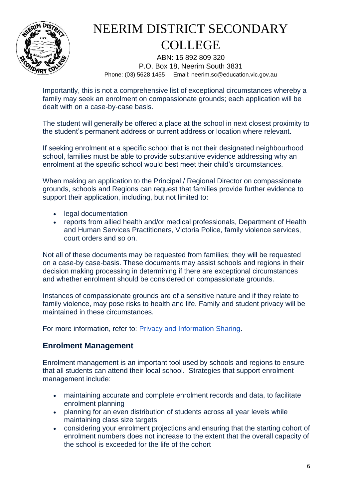

ABN: 15 892 809 320 P.O. Box 18, Neerim South 3831 Phone: (03) 5628 1455 Email: neerim.sc@education.vic.gov.au

Importantly, this is not a comprehensive list of exceptional circumstances whereby a family may seek an enrolment on compassionate grounds; each application will be dealt with on a case-by-case basis.

The student will generally be offered a place at the school in next closest proximity to the student's permanent address or current address or location where relevant.

If seeking enrolment at a specific school that is not their designated neighbourhood school, families must be able to provide substantive evidence addressing why an enrolment at the specific school would best meet their child's circumstances.

When making an application to the Principal / Regional Director on compassionate grounds, schools and Regions can request that families provide further evidence to support their application, including, but not limited to:

- legal documentation
- reports from allied health and/or medical professionals, Department of Health and Human Services Practitioners, Victoria Police, family violence services, court orders and so on.

Not all of these documents may be requested from families; they will be requested on a case-by case-basis. These documents may assist schools and regions in their decision making processing in determining if there are exceptional circumstances and whether enrolment should be considered on compassionate grounds.

Instances of compassionate grounds are of a sensitive nature and if they relate to family violence, may pose risks to health and life. Family and student privacy will be maintained in these circumstances.

For more information, refer to: [Privacy and Information Sharing.](https://www2.education.vic.gov.au/pal/privacy-information-sharing/policy)

### **Enrolment Management**

Enrolment management is an important tool used by schools and regions to ensure that all students can attend their local school. Strategies that support enrolment management include:

- maintaining accurate and complete enrolment records and data, to facilitate enrolment planning
- planning for an even distribution of students across all year levels while maintaining class size targets
- considering your enrolment projections and ensuring that the starting cohort of enrolment numbers does not increase to the extent that the overall capacity of the school is exceeded for the life of the cohort